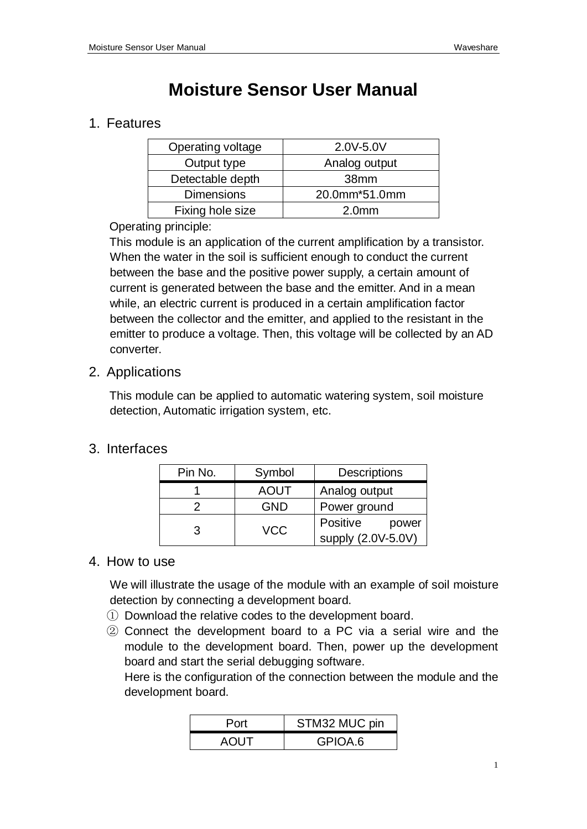# **Moisture Sensor User Manual**

### 1. Features

| Operating voltage | 2.0V-5.0V         |
|-------------------|-------------------|
| Output type       | Analog output     |
| Detectable depth  | 38 <sub>mm</sub>  |
| <b>Dimensions</b> | 20.0mm*51.0mm     |
| Fixing hole size  | 2.0 <sub>mm</sub> |

#### Operating principle:

This module is an application of the current amplification by a transistor. When the water in the soil is sufficient enough to conduct the current between the base and the positive power supply, a certain amount of current is generated between the base and the emitter. And in a mean while, an electric current is produced in a certain amplification factor between the collector and the emitter, and applied to the resistant in the emitter to produce a voltage. Then, this voltage will be collected by an AD converter.

#### 2. Applications

This module can be applied to automatic watering system, soil moisture detection, Automatic irrigation system, etc.

## 3. Interfaces

| Pin No. | Symbol      | <b>Descriptions</b>                     |
|---------|-------------|-----------------------------------------|
|         | <b>AOUT</b> | Analog output                           |
|         | <b>GND</b>  | Power ground                            |
| 3       | <b>VCC</b>  | Positive<br>power<br>supply (2.0V-5.0V) |

#### 4. How to use

We will illustrate the usage of the module with an example of soil moisture detection by connecting a development board.

- ① Download the relative codes to the development board.
- ② Connect the development board to a PC via a serial wire and the module to the development board. Then, power up the development board and start the serial debugging software.

Here is the configuration of the connection between the module and the development board.

| Port        | STM32 MUC pin |
|-------------|---------------|
| <b>AOUT</b> | GPIOA.6       |